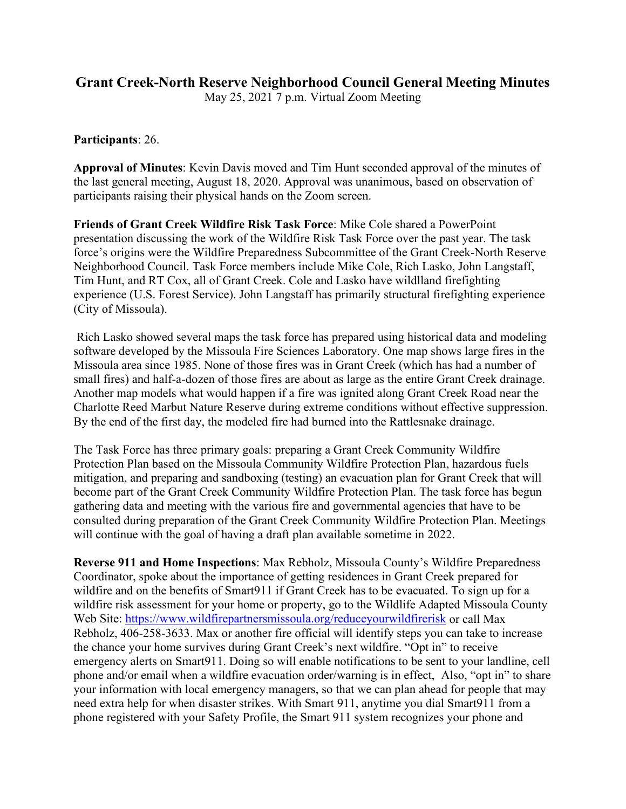## **Grant Creek-North Reserve Neighborhood Council General Meeting Minutes**

May 25, 2021 7 p.m. Virtual Zoom Meeting

**Participants**: 26.

**Approval of Minutes**: Kevin Davis moved and Tim Hunt seconded approval of the minutes of the last general meeting, August 18, 2020. Approval was unanimous, based on observation of participants raising their physical hands on the Zoom screen.

**Friends of Grant Creek Wildfire Risk Task Force**: Mike Cole shared a PowerPoint presentation discussing the work of the Wildfire Risk Task Force over the past year. The task force's origins were the Wildfire Preparedness Subcommittee of the Grant Creek-North Reserve Neighborhood Council. Task Force members include Mike Cole, Rich Lasko, John Langstaff, Tim Hunt, and RT Cox, all of Grant Creek. Cole and Lasko have wildlland firefighting experience (U.S. Forest Service). John Langstaff has primarily structural firefighting experience (City of Missoula).

Rich Lasko showed several maps the task force has prepared using historical data and modeling software developed by the Missoula Fire Sciences Laboratory. One map shows large fires in the Missoula area since 1985. None of those fires was in Grant Creek (which has had a number of small fires) and half-a-dozen of those fires are about as large as the entire Grant Creek drainage. Another map models what would happen if a fire was ignited along Grant Creek Road near the Charlotte Reed Marbut Nature Reserve during extreme conditions without effective suppression. By the end of the first day, the modeled fire had burned into the Rattlesnake drainage.

The Task Force has three primary goals: preparing a Grant Creek Community Wildfire Protection Plan based on the Missoula Community Wildfire Protection Plan, hazardous fuels mitigation, and preparing and sandboxing (testing) an evacuation plan for Grant Creek that will become part of the Grant Creek Community Wildfire Protection Plan. The task force has begun gathering data and meeting with the various fire and governmental agencies that have to be consulted during preparation of the Grant Creek Community Wildfire Protection Plan. Meetings will continue with the goal of having a draft plan available sometime in 2022.

**Reverse 911 and Home Inspections**: Max Rebholz, Missoula County's Wildfire Preparedness Coordinator, spoke about the importance of getting residences in Grant Creek prepared for wildfire and on the benefits of Smart911 if Grant Creek has to be evacuated. To sign up for a wildfire risk assessment for your home or property, go to the Wildlife Adapted Missoula County Web Site:<https://www.wildfirepartnersmissoula.org/reduceyourwildfirerisk> or call Max Rebholz, 406-258-3633. Max or another fire official will identify steps you can take to increase the chance your home survives during Grant Creek's next wildfire. "Opt in" to receive emergency alerts on Smart911. Doing so will enable notifications to be sent to your landline, cell phone and/or email when a wildfire evacuation order/warning is in effect, Also, "opt in" to share your information with local emergency managers, so that we can plan ahead for people that may need extra help for when disaster strikes. With Smart 911, anytime you dial Smart911 from a phone registered with your Safety Profile, the Smart 911 system recognizes your phone and